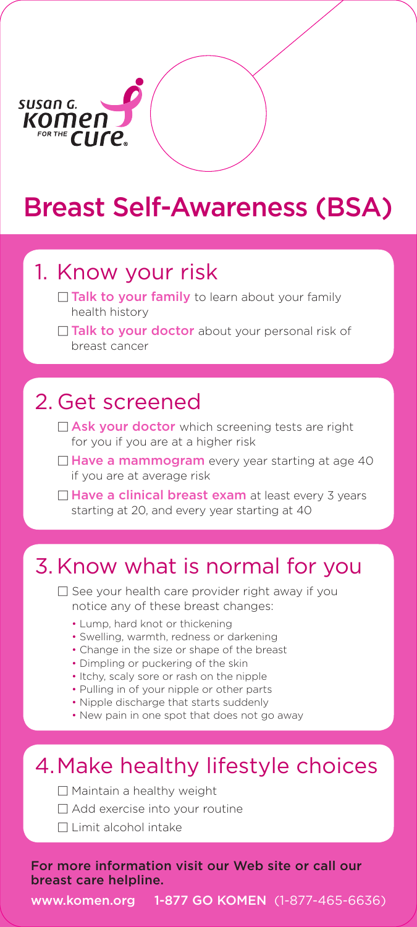

## Breast Self-Awareness (BSA)

# 1. Know your risk<br>  $\Box$  Talk to your family to learn about your family

- health history
- $\Box$  Talk to your doctor about your personal risk of breast cancer

## 2. Get screened<br>
9 Ask your doctor which screening tests are right

- for you if you are at a higher risk
- $\Box$  Have a mammogram every year starting at age 40 if you are at average risk
- $\Box$  Have a clinical breast exam at least every 3 years starting at 20, and every year starting at 40

### 3. Know what is normal for you

 $\Box$  See your health care provider right away if you notice any of these breast changes:

- Lump, hard knot or thickening
- Swelling, warmth, redness or darkening
- Change in the size or shape of the breast
- Dimpling or puckering of the skin
- Itchy, scaly sore or rash on the nipple
- Pulling in of your nipple or other parts
- Nipple discharge that starts suddenly
- New pain in one spot that does not go away

### 4. Make healthy lifestyle choices

- $\Box$  Maintain a healthy weight
- $\Box$  Add exercise into your routine
- $\Box$  Limit alcohol intake

For more information visit our Web site or call our breast care helpline.

www.komen.org 1-877 GO KOMEN (1-877-465-6636)